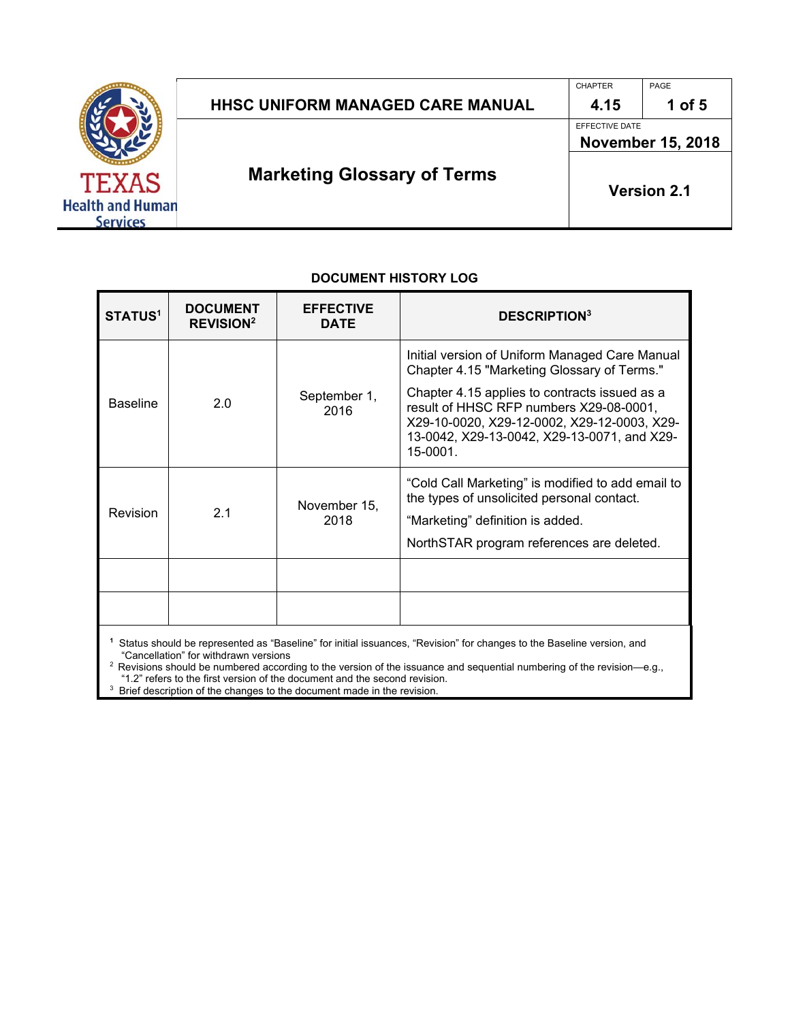

# HHSC UNIFORM MANAGED CARE MANUAL | 4.15 | 1 of 5

CHAPTER PAGE

EFFECTIVE DATE

**November 15, 2018** 

# **Marketing Glossary of Terms**

**Version 2.1** 

| <b>STATUS<sup>1</sup></b> | <b>DOCUMENT</b><br><b>REVISION<sup>2</sup></b> | <b>EFFECTIVE</b><br><b>DATE</b> | <b>DESCRIPTION3</b>                                                                                                                                                                                |
|---------------------------|------------------------------------------------|---------------------------------|----------------------------------------------------------------------------------------------------------------------------------------------------------------------------------------------------|
|                           |                                                |                                 | Initial version of Uniform Managed Care Manual<br>Chapter 4.15 "Marketing Glossary of Terms."                                                                                                      |
| <b>Baseline</b>           | 2.0                                            | September 1,<br>2016            | Chapter 4.15 applies to contracts issued as a<br>result of HHSC RFP numbers X29-08-0001,<br>X29-10-0020, X29-12-0002, X29-12-0003, X29-<br>13-0042, X29-13-0042, X29-13-0071, and X29-<br>15-0001. |
| <b>Revision</b>           | 2.1                                            | November 15,<br>2018            | "Cold Call Marketing" is modified to add email to<br>the types of unsolicited personal contact.<br>"Marketing" definition is added.<br>NorthSTAR program references are deleted.                   |
|                           |                                                |                                 |                                                                                                                                                                                                    |
|                           |                                                |                                 |                                                                                                                                                                                                    |
|                           |                                                |                                 |                                                                                                                                                                                                    |

#### **DOCUMENT HISTORY LOG**

**1** Status should be represented as "Baseline" for initial issuances, "Revision" for changes to the Baseline version, and

"Cancellation" for withdrawn versions 2 Revisions should be numbered according to the version of the issuance and sequential numbering of the revision—e.g., "1.2" refers to the first version of the document and the second revision. 3

Brief description of the changes to the document made in the revision.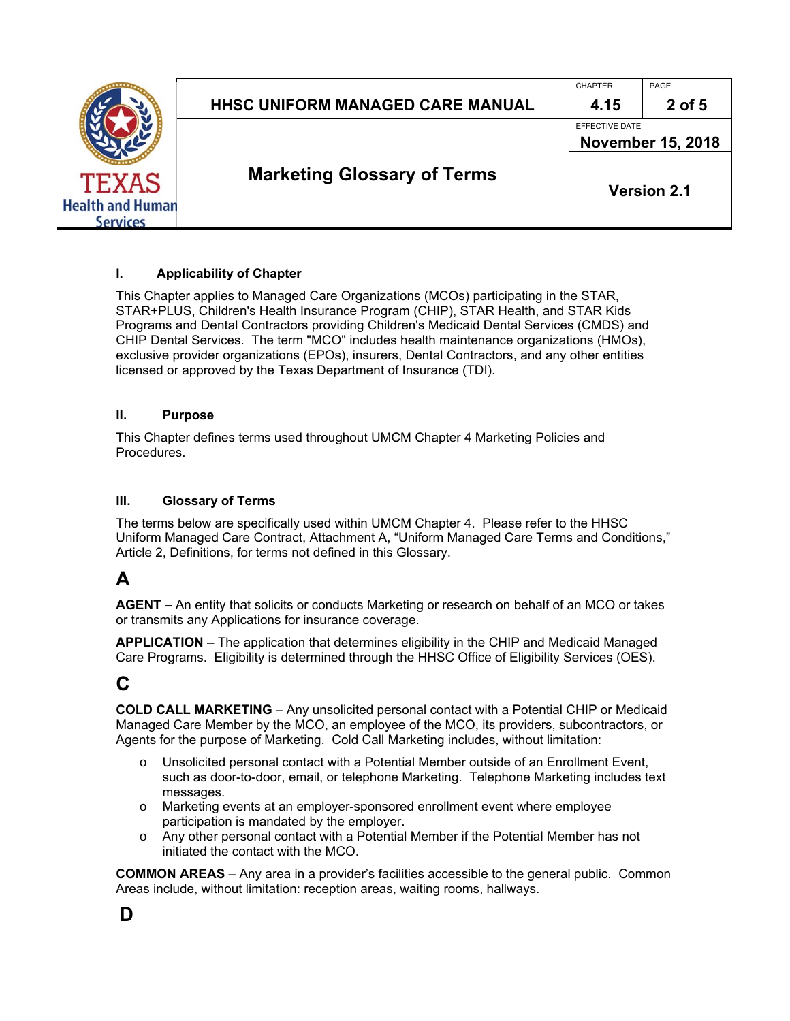|                         |                                         | <b>CHAPTER</b>                             | PAGE               |
|-------------------------|-----------------------------------------|--------------------------------------------|--------------------|
|                         | <b>HHSC UNIFORM MANAGED CARE MANUAL</b> | 4.15                                       | 2 of 5             |
|                         |                                         | EFFECTIVE DATE<br><b>November 15, 2018</b> |                    |
|                         |                                         |                                            |                    |
| <b>TEXAS</b>            | <b>Marketing Glossary of Terms</b>      |                                            | <b>Version 2.1</b> |
| <b>Health and Human</b> |                                         |                                            |                    |

#### **I. Applicability of Chapter**

This Chapter applies to Managed Care Organizations (MCOs) participating in the STAR, STAR+PLUS, Children's Health Insurance Program (CHIP), STAR Health, and STAR Kids Programs and Dental Contractors providing Children's Medicaid Dental Services (CMDS) and CHIP Dental Services. The term "MCO" includes health maintenance organizations (HMOs), exclusive provider organizations (EPOs), insurers, Dental Contractors, and any other entities licensed or approved by the Texas Department of Insurance (TDI).

#### **II. Purpose**

This Chapter defines terms used throughout UMCM Chapter 4 Marketing Policies and Procedures.

#### **III. Glossary of Terms**

The terms below are specifically used within UMCM Chapter 4. Please refer to the HHSC Uniform Managed Care Contract, Attachment A, "Uniform Managed Care Terms and Conditions," Article 2, Definitions, for terms not defined in this Glossary.

## **A**

**AGENT –** An entity that solicits or conducts Marketing or research on behalf of an MCO or takes or transmits any Applications for insurance coverage.

**APPLICATION** – The application that determines eligibility in the CHIP and Medicaid Managed Care Programs. Eligibility is determined through the HHSC Office of Eligibility Services (OES).

#### **C**

**COLD CALL MARKETING** – Any unsolicited personal contact with a Potential CHIP or Medicaid Managed Care Member by the MCO, an employee of the MCO, its providers, subcontractors, or Agents for the purpose of Marketing. Cold Call Marketing includes, without limitation:

- o Unsolicited personal contact with a Potential Member outside of an Enrollment Event, such as door-to-door, email, or telephone Marketing. Telephone Marketing includes text messages.
- o Marketing events at an employer-sponsored enrollment event where employee participation is mandated by the employer.
- o Any other personal contact with a Potential Member if the Potential Member has not initiated the contact with the MCO.

**COMMON AREAS** – Any area in a provider's facilities accessible to the general public. Common Areas include, without limitation: reception areas, waiting rooms, hallways.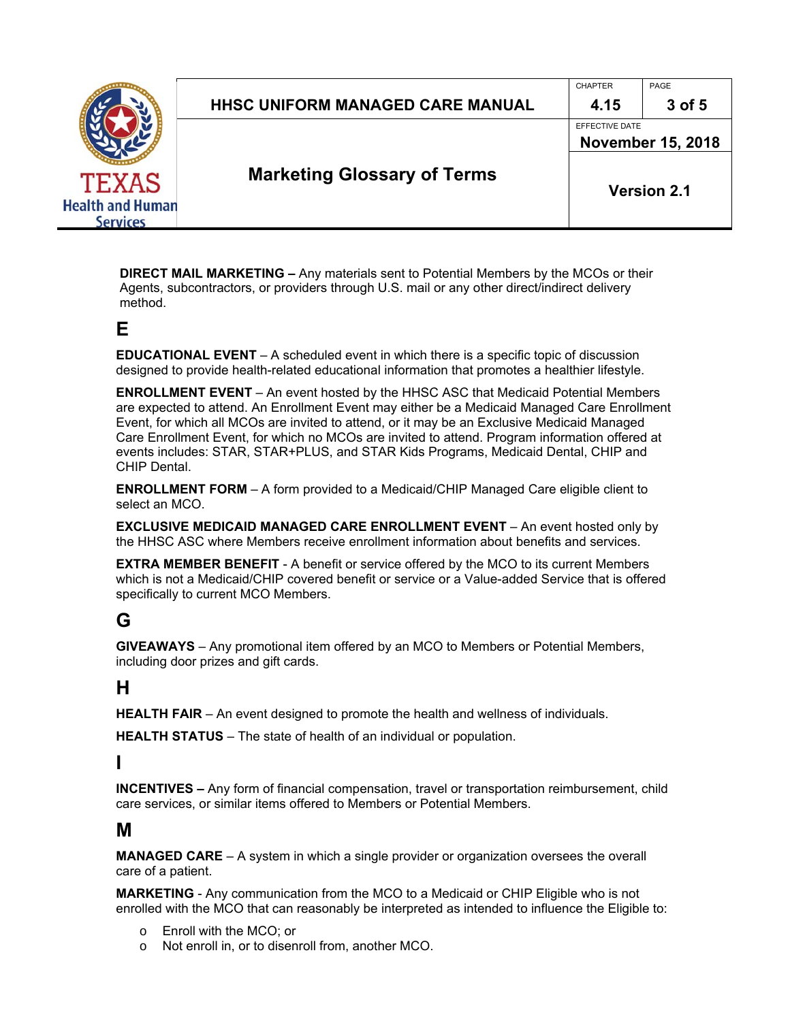# HHSC UNIFORM MANAGED CARE MANUAL  $\parallel$  4.15  $\parallel$  3 of 5

**Marketing Glossary of Terms** 

CHAPTER PAGE

EFFECTIVE DATE

**November 15, 2018** 

**Version 2.1** 

**DIRECT MAIL MARKETING –** Any materials sent to Potential Members by the MCOs or their Agents, subcontractors, or providers through U.S. mail or any other direct/indirect delivery method.

## **E**

**EDUCATIONAL EVENT** – A scheduled event in which there is a specific topic of discussion designed to provide health-related educational information that promotes a healthier lifestyle.

**ENROLLMENT EVENT** – An event hosted by the HHSC ASC that Medicaid Potential Members are expected to attend. An Enrollment Event may either be a Medicaid Managed Care Enrollment Event, for which all MCOs are invited to attend, or it may be an Exclusive Medicaid Managed Care Enrollment Event, for which no MCOs are invited to attend. Program information offered at events includes: STAR, STAR+PLUS, and STAR Kids Programs, Medicaid Dental, CHIP and CHIP Dental.

**ENROLLMENT FORM** – A form provided to a Medicaid/CHIP Managed Care eligible client to select an MCO.

**EXCLUSIVE MEDICAID MANAGED CARE ENROLLMENT EVENT** – An event hosted only by the HHSC ASC where Members receive enrollment information about benefits and services.

**EXTRA MEMBER BENEFIT** - A benefit or service offered by the MCO to its current Members which is not a Medicaid/CHIP covered benefit or service or a Value-added Service that is offered specifically to current MCO Members.

# **G**

**GIVEAWAYS** – Any promotional item offered by an MCO to Members or Potential Members, including door prizes and gift cards.

# **H**

**HEALTH FAIR** – An event designed to promote the health and wellness of individuals.

**HEALTH STATUS** – The state of health of an individual or population.

**I** 

**INCENTIVES –** Any form of financial compensation, travel or transportation reimbursement, child care services, or similar items offered to Members or Potential Members.

## **M**

**MANAGED CARE** – A system in which a single provider or organization oversees the overall care of a patient.

**MARKETING** - Any communication from the MCO to a Medicaid or CHIP Eligible who is not enrolled with the MCO that can reasonably be interpreted as intended to influence the Eligible to:

- o Enroll with the MCO; or
- o Not enroll in, or to disenroll from, another MCO.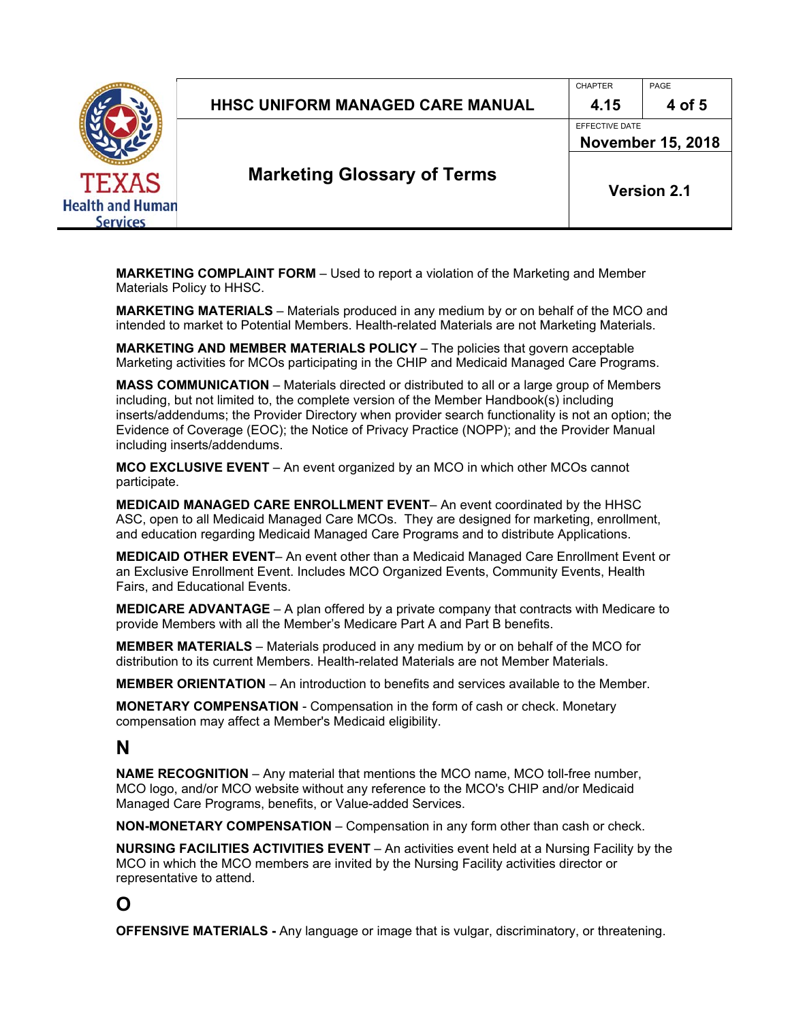| <b>Health and Human</b> |  |
|-------------------------|--|
| iervices                |  |

# HHSC UNIFORM MANAGED CARE MANUAL  $\parallel$  4.15  $\parallel$  4 of 5

CHAPTER PAGE

EFFECTIVE DATE

**Marketing Glossary of Terms** 

**Version 2.1** 

**November 15, 2018** 

**MARKETING COMPLAINT FORM** – Used to report a violation of the Marketing and Member Materials Policy to HHSC.

**MARKETING MATERIALS** – Materials produced in any medium by or on behalf of the MCO and intended to market to Potential Members. Health-related Materials are not Marketing Materials.

**MARKETING AND MEMBER MATERIALS POLICY** – The policies that govern acceptable Marketing activities for MCOs participating in the CHIP and Medicaid Managed Care Programs.

**MASS COMMUNICATION** – Materials directed or distributed to all or a large group of Members including, but not limited to, the complete version of the Member Handbook(s) including inserts/addendums; the Provider Directory when provider search functionality is not an option; the Evidence of Coverage (EOC); the Notice of Privacy Practice (NOPP); and the Provider Manual including inserts/addendums.

**MCO EXCLUSIVE EVENT** – An event organized by an MCO in which other MCOs cannot participate.

**MEDICAID MANAGED CARE ENROLLMENT EVENT**– An event coordinated by the HHSC ASC, open to all Medicaid Managed Care MCOs. They are designed for marketing, enrollment, and education regarding Medicaid Managed Care Programs and to distribute Applications.

**MEDICAID OTHER EVENT**– An event other than a Medicaid Managed Care Enrollment Event or an Exclusive Enrollment Event. Includes MCO Organized Events, Community Events, Health Fairs, and Educational Events.

**MEDICARE ADVANTAGE** – A plan offered by a private company that contracts with Medicare to provide Members with all the Member's Medicare Part A and Part B benefits.

**MEMBER MATERIALS** – Materials produced in any medium by or on behalf of the MCO for distribution to its current Members. Health-related Materials are not Member Materials.

**MEMBER ORIENTATION** – An introduction to benefits and services available to the Member.

**MONETARY COMPENSATION** - Compensation in the form of cash or check. Monetary compensation may affect a Member's Medicaid eligibility.

#### **N**

**NAME RECOGNITION** – Any material that mentions the MCO name, MCO toll-free number, MCO logo, and/or MCO website without any reference to the MCO's CHIP and/or Medicaid Managed Care Programs, benefits, or Value-added Services.

**NON-MONETARY COMPENSATION** – Compensation in any form other than cash or check.

**NURSING FACILITIES ACTIVITIES EVENT** – An activities event held at a Nursing Facility by the MCO in which the MCO members are invited by the Nursing Facility activities director or representative to attend.

## **O**

**OFFENSIVE MATERIALS -** Any language or image that is vulgar, discriminatory, or threatening.